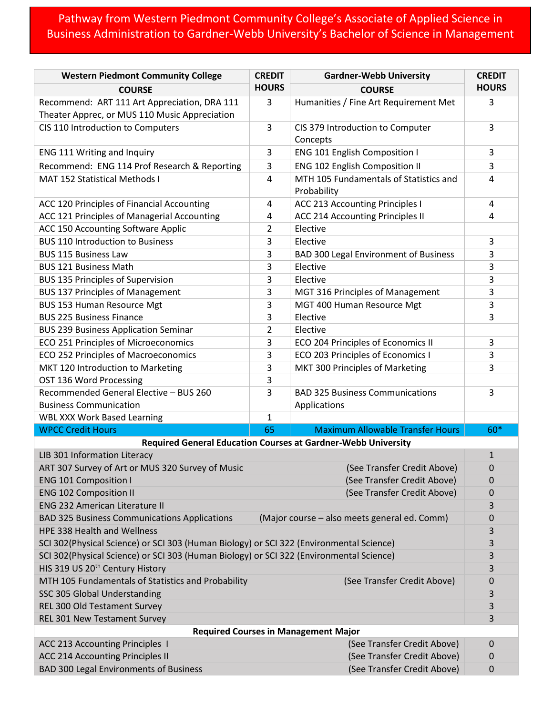## Pathway from Western Piedmont Community College's Associate of Applied Science in Business Administration to Gardner-Webb University's Bachelor of Science in Management

| <b>HOURS</b><br><b>HOURS</b><br><b>COURSE</b><br><b>COURSE</b><br>Recommend: ART 111 Art Appreciation, DRA 111<br>3<br>Humanities / Fine Art Requirement Met<br>3<br>Theater Apprec, or MUS 110 Music Appreciation<br>CIS 110 Introduction to Computers<br>3<br>CIS 379 Introduction to Computer<br>3<br>Concepts<br>ENG 111 Writing and Inquiry<br>ENG 101 English Composition I<br>3<br>3<br>Recommend: ENG 114 Prof Research & Reporting<br>ENG 102 English Composition II<br>3<br>3<br>MTH 105 Fundamentals of Statistics and<br><b>MAT 152 Statistical Methods I</b><br>4<br>4<br>Probability<br>ACC 213 Accounting Principles I<br>ACC 120 Principles of Financial Accounting<br>4<br>4<br>ACC 121 Principles of Managerial Accounting<br>ACC 214 Accounting Principles II<br>4<br>4<br>ACC 150 Accounting Software Applic<br>Elective<br>2<br><b>BUS 110 Introduction to Business</b><br>3<br>Elective<br>3<br>3<br><b>BAD 300 Legal Environment of Business</b><br>3<br><b>BUS 115 Business Law</b><br>Elective<br>3<br><b>BUS 121 Business Math</b><br>3<br>Elective<br><b>BUS 135 Principles of Supervision</b><br>3<br>3<br><b>BUS 137 Principles of Management</b><br>3<br>3<br>MGT 316 Principles of Management<br><b>BUS 153 Human Resource Mgt</b><br>3<br>MGT 400 Human Resource Mgt<br>3<br><b>BUS 225 Business Finance</b><br>3<br>Elective<br>3<br>$\overline{2}$<br><b>BUS 239 Business Application Seminar</b><br>Elective<br>ECO 251 Principles of Microeconomics<br>3<br>ECO 204 Principles of Economics II<br>3<br>ECO 252 Principles of Macroeconomics<br>ECO 203 Principles of Economics I<br>3<br>3<br>MKT 120 Introduction to Marketing<br>3<br>MKT 300 Principles of Marketing<br>3<br>3<br>OST 136 Word Processing<br>Recommended General Elective - BUS 260<br>3<br><b>BAD 325 Business Communications</b><br>3<br><b>Business Communication</b><br>Applications<br><b>WBL XXX Work Based Learning</b><br>$\mathbf{1}$<br>65<br><b>Maximum Allowable Transfer Hours</b><br>60*<br><b>WPCC Credit Hours</b><br>Required General Education Courses at Gardner-Webb University<br>LIB 301 Information Literacy<br>$\mathbf{1}$<br>ART 307 Survey of Art or MUS 320 Survey of Music<br>(See Transfer Credit Above)<br>0<br>(See Transfer Credit Above)<br><b>ENG 101 Composition I</b><br>0<br><b>ENG 102 Composition II</b><br>(See Transfer Credit Above)<br>0<br><b>ENG 232 American Literature II</b><br>3<br><b>BAD 325 Business Communications Applications</b><br>(Major course - also meets general ed. Comm)<br>0<br>HPE 338 Health and Wellness<br>3<br>SCI 302(Physical Science) or SCI 303 (Human Biology) or SCI 322 (Environmental Science)<br>3<br>SCI 302(Physical Science) or SCI 303 (Human Biology) or SCI 322 (Environmental Science)<br>3<br>HIS 319 US 20 <sup>th</sup> Century History<br>3<br>MTH 105 Fundamentals of Statistics and Probability<br>(See Transfer Credit Above)<br>0<br>SSC 305 Global Understanding<br>3<br>REL 300 Old Testament Survey<br>3<br>REL 301 New Testament Survey<br>3<br><b>Required Courses in Management Major</b><br>ACC 213 Accounting Principles 1<br>(See Transfer Credit Above)<br>0<br><b>ACC 214 Accounting Principles II</b><br>(See Transfer Credit Above)<br>0<br><b>BAD 300 Legal Environments of Business</b><br>(See Transfer Credit Above)<br>$\mathbf 0$ | <b>Western Piedmont Community College</b> | <b>CREDIT</b> | <b>Gardner-Webb University</b> | <b>CREDIT</b> |  |  |
|------------------------------------------------------------------------------------------------------------------------------------------------------------------------------------------------------------------------------------------------------------------------------------------------------------------------------------------------------------------------------------------------------------------------------------------------------------------------------------------------------------------------------------------------------------------------------------------------------------------------------------------------------------------------------------------------------------------------------------------------------------------------------------------------------------------------------------------------------------------------------------------------------------------------------------------------------------------------------------------------------------------------------------------------------------------------------------------------------------------------------------------------------------------------------------------------------------------------------------------------------------------------------------------------------------------------------------------------------------------------------------------------------------------------------------------------------------------------------------------------------------------------------------------------------------------------------------------------------------------------------------------------------------------------------------------------------------------------------------------------------------------------------------------------------------------------------------------------------------------------------------------------------------------------------------------------------------------------------------------------------------------------------------------------------------------------------------------------------------------------------------------------------------------------------------------------------------------------------------------------------------------------------------------------------------------------------------------------------------------------------------------------------------------------------------------------------------------------------------------------------------------------------------------------------------------------------------------------------------------------------------------------------------------------------------------------------------------------------------------------------------------------------------------------------------------------------------------------------------------------------------------------------------------------------------------------------------------------------------------------------------------------------------------------------------------------------------------------------------------------------------------------------------------------------------------------------------------------------------------------------------------------------------------------------------------------------------------------------------|-------------------------------------------|---------------|--------------------------------|---------------|--|--|
|                                                                                                                                                                                                                                                                                                                                                                                                                                                                                                                                                                                                                                                                                                                                                                                                                                                                                                                                                                                                                                                                                                                                                                                                                                                                                                                                                                                                                                                                                                                                                                                                                                                                                                                                                                                                                                                                                                                                                                                                                                                                                                                                                                                                                                                                                                                                                                                                                                                                                                                                                                                                                                                                                                                                                                                                                                                                                                                                                                                                                                                                                                                                                                                                                                                                                                                                                            |                                           |               |                                |               |  |  |
|                                                                                                                                                                                                                                                                                                                                                                                                                                                                                                                                                                                                                                                                                                                                                                                                                                                                                                                                                                                                                                                                                                                                                                                                                                                                                                                                                                                                                                                                                                                                                                                                                                                                                                                                                                                                                                                                                                                                                                                                                                                                                                                                                                                                                                                                                                                                                                                                                                                                                                                                                                                                                                                                                                                                                                                                                                                                                                                                                                                                                                                                                                                                                                                                                                                                                                                                                            |                                           |               |                                |               |  |  |
|                                                                                                                                                                                                                                                                                                                                                                                                                                                                                                                                                                                                                                                                                                                                                                                                                                                                                                                                                                                                                                                                                                                                                                                                                                                                                                                                                                                                                                                                                                                                                                                                                                                                                                                                                                                                                                                                                                                                                                                                                                                                                                                                                                                                                                                                                                                                                                                                                                                                                                                                                                                                                                                                                                                                                                                                                                                                                                                                                                                                                                                                                                                                                                                                                                                                                                                                                            |                                           |               |                                |               |  |  |
|                                                                                                                                                                                                                                                                                                                                                                                                                                                                                                                                                                                                                                                                                                                                                                                                                                                                                                                                                                                                                                                                                                                                                                                                                                                                                                                                                                                                                                                                                                                                                                                                                                                                                                                                                                                                                                                                                                                                                                                                                                                                                                                                                                                                                                                                                                                                                                                                                                                                                                                                                                                                                                                                                                                                                                                                                                                                                                                                                                                                                                                                                                                                                                                                                                                                                                                                                            |                                           |               |                                |               |  |  |
|                                                                                                                                                                                                                                                                                                                                                                                                                                                                                                                                                                                                                                                                                                                                                                                                                                                                                                                                                                                                                                                                                                                                                                                                                                                                                                                                                                                                                                                                                                                                                                                                                                                                                                                                                                                                                                                                                                                                                                                                                                                                                                                                                                                                                                                                                                                                                                                                                                                                                                                                                                                                                                                                                                                                                                                                                                                                                                                                                                                                                                                                                                                                                                                                                                                                                                                                                            |                                           |               |                                |               |  |  |
|                                                                                                                                                                                                                                                                                                                                                                                                                                                                                                                                                                                                                                                                                                                                                                                                                                                                                                                                                                                                                                                                                                                                                                                                                                                                                                                                                                                                                                                                                                                                                                                                                                                                                                                                                                                                                                                                                                                                                                                                                                                                                                                                                                                                                                                                                                                                                                                                                                                                                                                                                                                                                                                                                                                                                                                                                                                                                                                                                                                                                                                                                                                                                                                                                                                                                                                                                            |                                           |               |                                |               |  |  |
|                                                                                                                                                                                                                                                                                                                                                                                                                                                                                                                                                                                                                                                                                                                                                                                                                                                                                                                                                                                                                                                                                                                                                                                                                                                                                                                                                                                                                                                                                                                                                                                                                                                                                                                                                                                                                                                                                                                                                                                                                                                                                                                                                                                                                                                                                                                                                                                                                                                                                                                                                                                                                                                                                                                                                                                                                                                                                                                                                                                                                                                                                                                                                                                                                                                                                                                                                            |                                           |               |                                |               |  |  |
|                                                                                                                                                                                                                                                                                                                                                                                                                                                                                                                                                                                                                                                                                                                                                                                                                                                                                                                                                                                                                                                                                                                                                                                                                                                                                                                                                                                                                                                                                                                                                                                                                                                                                                                                                                                                                                                                                                                                                                                                                                                                                                                                                                                                                                                                                                                                                                                                                                                                                                                                                                                                                                                                                                                                                                                                                                                                                                                                                                                                                                                                                                                                                                                                                                                                                                                                                            |                                           |               |                                |               |  |  |
|                                                                                                                                                                                                                                                                                                                                                                                                                                                                                                                                                                                                                                                                                                                                                                                                                                                                                                                                                                                                                                                                                                                                                                                                                                                                                                                                                                                                                                                                                                                                                                                                                                                                                                                                                                                                                                                                                                                                                                                                                                                                                                                                                                                                                                                                                                                                                                                                                                                                                                                                                                                                                                                                                                                                                                                                                                                                                                                                                                                                                                                                                                                                                                                                                                                                                                                                                            |                                           |               |                                |               |  |  |
|                                                                                                                                                                                                                                                                                                                                                                                                                                                                                                                                                                                                                                                                                                                                                                                                                                                                                                                                                                                                                                                                                                                                                                                                                                                                                                                                                                                                                                                                                                                                                                                                                                                                                                                                                                                                                                                                                                                                                                                                                                                                                                                                                                                                                                                                                                                                                                                                                                                                                                                                                                                                                                                                                                                                                                                                                                                                                                                                                                                                                                                                                                                                                                                                                                                                                                                                                            |                                           |               |                                |               |  |  |
|                                                                                                                                                                                                                                                                                                                                                                                                                                                                                                                                                                                                                                                                                                                                                                                                                                                                                                                                                                                                                                                                                                                                                                                                                                                                                                                                                                                                                                                                                                                                                                                                                                                                                                                                                                                                                                                                                                                                                                                                                                                                                                                                                                                                                                                                                                                                                                                                                                                                                                                                                                                                                                                                                                                                                                                                                                                                                                                                                                                                                                                                                                                                                                                                                                                                                                                                                            |                                           |               |                                |               |  |  |
|                                                                                                                                                                                                                                                                                                                                                                                                                                                                                                                                                                                                                                                                                                                                                                                                                                                                                                                                                                                                                                                                                                                                                                                                                                                                                                                                                                                                                                                                                                                                                                                                                                                                                                                                                                                                                                                                                                                                                                                                                                                                                                                                                                                                                                                                                                                                                                                                                                                                                                                                                                                                                                                                                                                                                                                                                                                                                                                                                                                                                                                                                                                                                                                                                                                                                                                                                            |                                           |               |                                |               |  |  |
|                                                                                                                                                                                                                                                                                                                                                                                                                                                                                                                                                                                                                                                                                                                                                                                                                                                                                                                                                                                                                                                                                                                                                                                                                                                                                                                                                                                                                                                                                                                                                                                                                                                                                                                                                                                                                                                                                                                                                                                                                                                                                                                                                                                                                                                                                                                                                                                                                                                                                                                                                                                                                                                                                                                                                                                                                                                                                                                                                                                                                                                                                                                                                                                                                                                                                                                                                            |                                           |               |                                |               |  |  |
|                                                                                                                                                                                                                                                                                                                                                                                                                                                                                                                                                                                                                                                                                                                                                                                                                                                                                                                                                                                                                                                                                                                                                                                                                                                                                                                                                                                                                                                                                                                                                                                                                                                                                                                                                                                                                                                                                                                                                                                                                                                                                                                                                                                                                                                                                                                                                                                                                                                                                                                                                                                                                                                                                                                                                                                                                                                                                                                                                                                                                                                                                                                                                                                                                                                                                                                                                            |                                           |               |                                |               |  |  |
|                                                                                                                                                                                                                                                                                                                                                                                                                                                                                                                                                                                                                                                                                                                                                                                                                                                                                                                                                                                                                                                                                                                                                                                                                                                                                                                                                                                                                                                                                                                                                                                                                                                                                                                                                                                                                                                                                                                                                                                                                                                                                                                                                                                                                                                                                                                                                                                                                                                                                                                                                                                                                                                                                                                                                                                                                                                                                                                                                                                                                                                                                                                                                                                                                                                                                                                                                            |                                           |               |                                |               |  |  |
|                                                                                                                                                                                                                                                                                                                                                                                                                                                                                                                                                                                                                                                                                                                                                                                                                                                                                                                                                                                                                                                                                                                                                                                                                                                                                                                                                                                                                                                                                                                                                                                                                                                                                                                                                                                                                                                                                                                                                                                                                                                                                                                                                                                                                                                                                                                                                                                                                                                                                                                                                                                                                                                                                                                                                                                                                                                                                                                                                                                                                                                                                                                                                                                                                                                                                                                                                            |                                           |               |                                |               |  |  |
|                                                                                                                                                                                                                                                                                                                                                                                                                                                                                                                                                                                                                                                                                                                                                                                                                                                                                                                                                                                                                                                                                                                                                                                                                                                                                                                                                                                                                                                                                                                                                                                                                                                                                                                                                                                                                                                                                                                                                                                                                                                                                                                                                                                                                                                                                                                                                                                                                                                                                                                                                                                                                                                                                                                                                                                                                                                                                                                                                                                                                                                                                                                                                                                                                                                                                                                                                            |                                           |               |                                |               |  |  |
|                                                                                                                                                                                                                                                                                                                                                                                                                                                                                                                                                                                                                                                                                                                                                                                                                                                                                                                                                                                                                                                                                                                                                                                                                                                                                                                                                                                                                                                                                                                                                                                                                                                                                                                                                                                                                                                                                                                                                                                                                                                                                                                                                                                                                                                                                                                                                                                                                                                                                                                                                                                                                                                                                                                                                                                                                                                                                                                                                                                                                                                                                                                                                                                                                                                                                                                                                            |                                           |               |                                |               |  |  |
|                                                                                                                                                                                                                                                                                                                                                                                                                                                                                                                                                                                                                                                                                                                                                                                                                                                                                                                                                                                                                                                                                                                                                                                                                                                                                                                                                                                                                                                                                                                                                                                                                                                                                                                                                                                                                                                                                                                                                                                                                                                                                                                                                                                                                                                                                                                                                                                                                                                                                                                                                                                                                                                                                                                                                                                                                                                                                                                                                                                                                                                                                                                                                                                                                                                                                                                                                            |                                           |               |                                |               |  |  |
|                                                                                                                                                                                                                                                                                                                                                                                                                                                                                                                                                                                                                                                                                                                                                                                                                                                                                                                                                                                                                                                                                                                                                                                                                                                                                                                                                                                                                                                                                                                                                                                                                                                                                                                                                                                                                                                                                                                                                                                                                                                                                                                                                                                                                                                                                                                                                                                                                                                                                                                                                                                                                                                                                                                                                                                                                                                                                                                                                                                                                                                                                                                                                                                                                                                                                                                                                            |                                           |               |                                |               |  |  |
|                                                                                                                                                                                                                                                                                                                                                                                                                                                                                                                                                                                                                                                                                                                                                                                                                                                                                                                                                                                                                                                                                                                                                                                                                                                                                                                                                                                                                                                                                                                                                                                                                                                                                                                                                                                                                                                                                                                                                                                                                                                                                                                                                                                                                                                                                                                                                                                                                                                                                                                                                                                                                                                                                                                                                                                                                                                                                                                                                                                                                                                                                                                                                                                                                                                                                                                                                            |                                           |               |                                |               |  |  |
|                                                                                                                                                                                                                                                                                                                                                                                                                                                                                                                                                                                                                                                                                                                                                                                                                                                                                                                                                                                                                                                                                                                                                                                                                                                                                                                                                                                                                                                                                                                                                                                                                                                                                                                                                                                                                                                                                                                                                                                                                                                                                                                                                                                                                                                                                                                                                                                                                                                                                                                                                                                                                                                                                                                                                                                                                                                                                                                                                                                                                                                                                                                                                                                                                                                                                                                                                            |                                           |               |                                |               |  |  |
|                                                                                                                                                                                                                                                                                                                                                                                                                                                                                                                                                                                                                                                                                                                                                                                                                                                                                                                                                                                                                                                                                                                                                                                                                                                                                                                                                                                                                                                                                                                                                                                                                                                                                                                                                                                                                                                                                                                                                                                                                                                                                                                                                                                                                                                                                                                                                                                                                                                                                                                                                                                                                                                                                                                                                                                                                                                                                                                                                                                                                                                                                                                                                                                                                                                                                                                                                            |                                           |               |                                |               |  |  |
|                                                                                                                                                                                                                                                                                                                                                                                                                                                                                                                                                                                                                                                                                                                                                                                                                                                                                                                                                                                                                                                                                                                                                                                                                                                                                                                                                                                                                                                                                                                                                                                                                                                                                                                                                                                                                                                                                                                                                                                                                                                                                                                                                                                                                                                                                                                                                                                                                                                                                                                                                                                                                                                                                                                                                                                                                                                                                                                                                                                                                                                                                                                                                                                                                                                                                                                                                            |                                           |               |                                |               |  |  |
|                                                                                                                                                                                                                                                                                                                                                                                                                                                                                                                                                                                                                                                                                                                                                                                                                                                                                                                                                                                                                                                                                                                                                                                                                                                                                                                                                                                                                                                                                                                                                                                                                                                                                                                                                                                                                                                                                                                                                                                                                                                                                                                                                                                                                                                                                                                                                                                                                                                                                                                                                                                                                                                                                                                                                                                                                                                                                                                                                                                                                                                                                                                                                                                                                                                                                                                                                            |                                           |               |                                |               |  |  |
|                                                                                                                                                                                                                                                                                                                                                                                                                                                                                                                                                                                                                                                                                                                                                                                                                                                                                                                                                                                                                                                                                                                                                                                                                                                                                                                                                                                                                                                                                                                                                                                                                                                                                                                                                                                                                                                                                                                                                                                                                                                                                                                                                                                                                                                                                                                                                                                                                                                                                                                                                                                                                                                                                                                                                                                                                                                                                                                                                                                                                                                                                                                                                                                                                                                                                                                                                            |                                           |               |                                |               |  |  |
|                                                                                                                                                                                                                                                                                                                                                                                                                                                                                                                                                                                                                                                                                                                                                                                                                                                                                                                                                                                                                                                                                                                                                                                                                                                                                                                                                                                                                                                                                                                                                                                                                                                                                                                                                                                                                                                                                                                                                                                                                                                                                                                                                                                                                                                                                                                                                                                                                                                                                                                                                                                                                                                                                                                                                                                                                                                                                                                                                                                                                                                                                                                                                                                                                                                                                                                                                            |                                           |               |                                |               |  |  |
|                                                                                                                                                                                                                                                                                                                                                                                                                                                                                                                                                                                                                                                                                                                                                                                                                                                                                                                                                                                                                                                                                                                                                                                                                                                                                                                                                                                                                                                                                                                                                                                                                                                                                                                                                                                                                                                                                                                                                                                                                                                                                                                                                                                                                                                                                                                                                                                                                                                                                                                                                                                                                                                                                                                                                                                                                                                                                                                                                                                                                                                                                                                                                                                                                                                                                                                                                            |                                           |               |                                |               |  |  |
|                                                                                                                                                                                                                                                                                                                                                                                                                                                                                                                                                                                                                                                                                                                                                                                                                                                                                                                                                                                                                                                                                                                                                                                                                                                                                                                                                                                                                                                                                                                                                                                                                                                                                                                                                                                                                                                                                                                                                                                                                                                                                                                                                                                                                                                                                                                                                                                                                                                                                                                                                                                                                                                                                                                                                                                                                                                                                                                                                                                                                                                                                                                                                                                                                                                                                                                                                            |                                           |               |                                |               |  |  |
|                                                                                                                                                                                                                                                                                                                                                                                                                                                                                                                                                                                                                                                                                                                                                                                                                                                                                                                                                                                                                                                                                                                                                                                                                                                                                                                                                                                                                                                                                                                                                                                                                                                                                                                                                                                                                                                                                                                                                                                                                                                                                                                                                                                                                                                                                                                                                                                                                                                                                                                                                                                                                                                                                                                                                                                                                                                                                                                                                                                                                                                                                                                                                                                                                                                                                                                                                            |                                           |               |                                |               |  |  |
|                                                                                                                                                                                                                                                                                                                                                                                                                                                                                                                                                                                                                                                                                                                                                                                                                                                                                                                                                                                                                                                                                                                                                                                                                                                                                                                                                                                                                                                                                                                                                                                                                                                                                                                                                                                                                                                                                                                                                                                                                                                                                                                                                                                                                                                                                                                                                                                                                                                                                                                                                                                                                                                                                                                                                                                                                                                                                                                                                                                                                                                                                                                                                                                                                                                                                                                                                            |                                           |               |                                |               |  |  |
|                                                                                                                                                                                                                                                                                                                                                                                                                                                                                                                                                                                                                                                                                                                                                                                                                                                                                                                                                                                                                                                                                                                                                                                                                                                                                                                                                                                                                                                                                                                                                                                                                                                                                                                                                                                                                                                                                                                                                                                                                                                                                                                                                                                                                                                                                                                                                                                                                                                                                                                                                                                                                                                                                                                                                                                                                                                                                                                                                                                                                                                                                                                                                                                                                                                                                                                                                            |                                           |               |                                |               |  |  |
|                                                                                                                                                                                                                                                                                                                                                                                                                                                                                                                                                                                                                                                                                                                                                                                                                                                                                                                                                                                                                                                                                                                                                                                                                                                                                                                                                                                                                                                                                                                                                                                                                                                                                                                                                                                                                                                                                                                                                                                                                                                                                                                                                                                                                                                                                                                                                                                                                                                                                                                                                                                                                                                                                                                                                                                                                                                                                                                                                                                                                                                                                                                                                                                                                                                                                                                                                            |                                           |               |                                |               |  |  |
|                                                                                                                                                                                                                                                                                                                                                                                                                                                                                                                                                                                                                                                                                                                                                                                                                                                                                                                                                                                                                                                                                                                                                                                                                                                                                                                                                                                                                                                                                                                                                                                                                                                                                                                                                                                                                                                                                                                                                                                                                                                                                                                                                                                                                                                                                                                                                                                                                                                                                                                                                                                                                                                                                                                                                                                                                                                                                                                                                                                                                                                                                                                                                                                                                                                                                                                                                            |                                           |               |                                |               |  |  |
|                                                                                                                                                                                                                                                                                                                                                                                                                                                                                                                                                                                                                                                                                                                                                                                                                                                                                                                                                                                                                                                                                                                                                                                                                                                                                                                                                                                                                                                                                                                                                                                                                                                                                                                                                                                                                                                                                                                                                                                                                                                                                                                                                                                                                                                                                                                                                                                                                                                                                                                                                                                                                                                                                                                                                                                                                                                                                                                                                                                                                                                                                                                                                                                                                                                                                                                                                            |                                           |               |                                |               |  |  |
|                                                                                                                                                                                                                                                                                                                                                                                                                                                                                                                                                                                                                                                                                                                                                                                                                                                                                                                                                                                                                                                                                                                                                                                                                                                                                                                                                                                                                                                                                                                                                                                                                                                                                                                                                                                                                                                                                                                                                                                                                                                                                                                                                                                                                                                                                                                                                                                                                                                                                                                                                                                                                                                                                                                                                                                                                                                                                                                                                                                                                                                                                                                                                                                                                                                                                                                                                            |                                           |               |                                |               |  |  |
|                                                                                                                                                                                                                                                                                                                                                                                                                                                                                                                                                                                                                                                                                                                                                                                                                                                                                                                                                                                                                                                                                                                                                                                                                                                                                                                                                                                                                                                                                                                                                                                                                                                                                                                                                                                                                                                                                                                                                                                                                                                                                                                                                                                                                                                                                                                                                                                                                                                                                                                                                                                                                                                                                                                                                                                                                                                                                                                                                                                                                                                                                                                                                                                                                                                                                                                                                            |                                           |               |                                |               |  |  |
|                                                                                                                                                                                                                                                                                                                                                                                                                                                                                                                                                                                                                                                                                                                                                                                                                                                                                                                                                                                                                                                                                                                                                                                                                                                                                                                                                                                                                                                                                                                                                                                                                                                                                                                                                                                                                                                                                                                                                                                                                                                                                                                                                                                                                                                                                                                                                                                                                                                                                                                                                                                                                                                                                                                                                                                                                                                                                                                                                                                                                                                                                                                                                                                                                                                                                                                                                            |                                           |               |                                |               |  |  |
|                                                                                                                                                                                                                                                                                                                                                                                                                                                                                                                                                                                                                                                                                                                                                                                                                                                                                                                                                                                                                                                                                                                                                                                                                                                                                                                                                                                                                                                                                                                                                                                                                                                                                                                                                                                                                                                                                                                                                                                                                                                                                                                                                                                                                                                                                                                                                                                                                                                                                                                                                                                                                                                                                                                                                                                                                                                                                                                                                                                                                                                                                                                                                                                                                                                                                                                                                            |                                           |               |                                |               |  |  |
|                                                                                                                                                                                                                                                                                                                                                                                                                                                                                                                                                                                                                                                                                                                                                                                                                                                                                                                                                                                                                                                                                                                                                                                                                                                                                                                                                                                                                                                                                                                                                                                                                                                                                                                                                                                                                                                                                                                                                                                                                                                                                                                                                                                                                                                                                                                                                                                                                                                                                                                                                                                                                                                                                                                                                                                                                                                                                                                                                                                                                                                                                                                                                                                                                                                                                                                                                            |                                           |               |                                |               |  |  |
|                                                                                                                                                                                                                                                                                                                                                                                                                                                                                                                                                                                                                                                                                                                                                                                                                                                                                                                                                                                                                                                                                                                                                                                                                                                                                                                                                                                                                                                                                                                                                                                                                                                                                                                                                                                                                                                                                                                                                                                                                                                                                                                                                                                                                                                                                                                                                                                                                                                                                                                                                                                                                                                                                                                                                                                                                                                                                                                                                                                                                                                                                                                                                                                                                                                                                                                                                            |                                           |               |                                |               |  |  |
|                                                                                                                                                                                                                                                                                                                                                                                                                                                                                                                                                                                                                                                                                                                                                                                                                                                                                                                                                                                                                                                                                                                                                                                                                                                                                                                                                                                                                                                                                                                                                                                                                                                                                                                                                                                                                                                                                                                                                                                                                                                                                                                                                                                                                                                                                                                                                                                                                                                                                                                                                                                                                                                                                                                                                                                                                                                                                                                                                                                                                                                                                                                                                                                                                                                                                                                                                            |                                           |               |                                |               |  |  |
|                                                                                                                                                                                                                                                                                                                                                                                                                                                                                                                                                                                                                                                                                                                                                                                                                                                                                                                                                                                                                                                                                                                                                                                                                                                                                                                                                                                                                                                                                                                                                                                                                                                                                                                                                                                                                                                                                                                                                                                                                                                                                                                                                                                                                                                                                                                                                                                                                                                                                                                                                                                                                                                                                                                                                                                                                                                                                                                                                                                                                                                                                                                                                                                                                                                                                                                                                            |                                           |               |                                |               |  |  |
|                                                                                                                                                                                                                                                                                                                                                                                                                                                                                                                                                                                                                                                                                                                                                                                                                                                                                                                                                                                                                                                                                                                                                                                                                                                                                                                                                                                                                                                                                                                                                                                                                                                                                                                                                                                                                                                                                                                                                                                                                                                                                                                                                                                                                                                                                                                                                                                                                                                                                                                                                                                                                                                                                                                                                                                                                                                                                                                                                                                                                                                                                                                                                                                                                                                                                                                                                            |                                           |               |                                |               |  |  |
|                                                                                                                                                                                                                                                                                                                                                                                                                                                                                                                                                                                                                                                                                                                                                                                                                                                                                                                                                                                                                                                                                                                                                                                                                                                                                                                                                                                                                                                                                                                                                                                                                                                                                                                                                                                                                                                                                                                                                                                                                                                                                                                                                                                                                                                                                                                                                                                                                                                                                                                                                                                                                                                                                                                                                                                                                                                                                                                                                                                                                                                                                                                                                                                                                                                                                                                                                            |                                           |               |                                |               |  |  |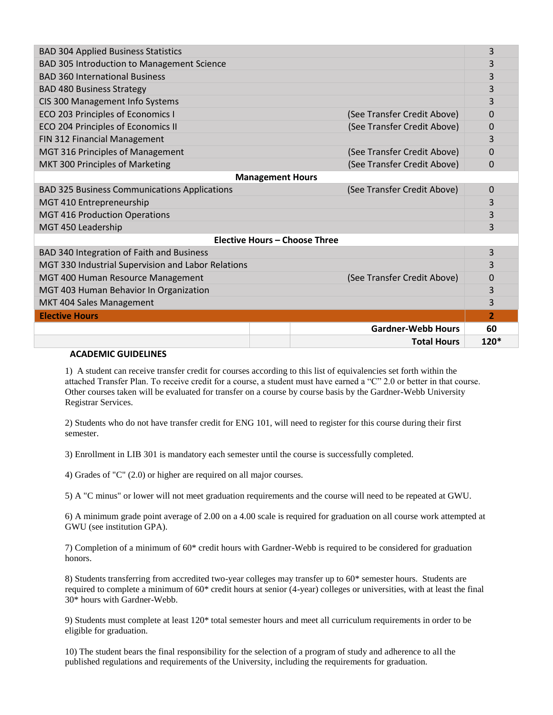|                                                    |                             | 3                       |  |  |
|----------------------------------------------------|-----------------------------|-------------------------|--|--|
|                                                    |                             | 3                       |  |  |
|                                                    |                             | 3                       |  |  |
|                                                    |                             | 3                       |  |  |
|                                                    |                             | 3                       |  |  |
|                                                    | (See Transfer Credit Above) | $\Omega$                |  |  |
|                                                    | (See Transfer Credit Above) | 0                       |  |  |
|                                                    |                             | 3                       |  |  |
|                                                    | (See Transfer Credit Above) | 0                       |  |  |
|                                                    | (See Transfer Credit Above) | 0                       |  |  |
|                                                    |                             |                         |  |  |
|                                                    | (See Transfer Credit Above) | 0                       |  |  |
|                                                    |                             | 3                       |  |  |
|                                                    |                             | 3                       |  |  |
|                                                    |                             | 3                       |  |  |
| <b>Elective Hours - Choose Three</b>               |                             |                         |  |  |
|                                                    |                             | 3                       |  |  |
| MGT 330 Industrial Supervision and Labor Relations |                             | 3                       |  |  |
|                                                    | (See Transfer Credit Above) | 0                       |  |  |
|                                                    |                             | 3                       |  |  |
|                                                    |                             | 3                       |  |  |
|                                                    |                             | $\overline{2}$          |  |  |
|                                                    | <b>Gardner-Webb Hours</b>   | 60                      |  |  |
|                                                    | <b>Total Hours</b>          | $120*$                  |  |  |
|                                                    |                             | <b>Management Hours</b> |  |  |

## **ACADEMIC GUIDELINES**

1) A student can receive transfer credit for courses according to this list of equivalencies set forth within the attached Transfer Plan. To receive credit for a course, a student must have earned a "C" 2.0 or better in that course. Other courses taken will be evaluated for transfer on a course by course basis by the Gardner-Webb University Registrar Services.

2) Students who do not have transfer credit for ENG 101, will need to register for this course during their first semester.

3) Enrollment in LIB 301 is mandatory each semester until the course is successfully completed.

4) Grades of "C" (2.0) or higher are required on all major courses.

5) A "C minus" or lower will not meet graduation requirements and the course will need to be repeated at GWU.

6) A minimum grade point average of 2.00 on a 4.00 scale is required for graduation on all course work attempted at GWU (see institution GPA).

7) Completion of a minimum of 60\* credit hours with Gardner-Webb is required to be considered for graduation honors.

8) Students transferring from accredited two-year colleges may transfer up to 60\* semester hours. Students are required to complete a minimum of 60\* credit hours at senior (4-year) colleges or universities, with at least the final 30\* hours with Gardner-Webb.

9) Students must complete at least 120\* total semester hours and meet all curriculum requirements in order to be eligible for graduation.

10) The student bears the final responsibility for the selection of a program of study and adherence to all the published regulations and requirements of the University, including the requirements for graduation.